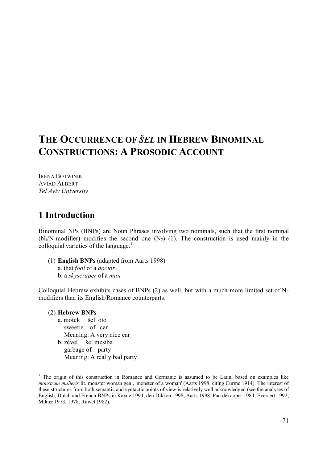# **THE OCCURRENCE OF** *ŠEL* **IN HEBREW BINOMINAL CONSTRUCTIONS: A PROSODIC ACCOUNT**

IRENA BOTWINIK AVIAD ALBERT *Tel Aviv University*

# **1 Introduction**

Binominal NPs (BNPs) are Noun Phrases involving two nominals, such that the first nominal  $(N_1/N\text{-modifier})$  modifies the second one  $(N_2)$  (1). The construction is used mainly in the colloquial varieties of the language. 1

(1) **English BNPs** (adapted from Aarts 1998) a. that *fool* of a *doctor* b. a *skyscraper* of a *man*

Colloquial Hebrew exhibits cases of BNPs (2) as well, but with a much more limited set of Nmodifiers than its English/Romance counterparts.

# (2) **Hebrew BNPs**

-

a. mótek šel oto sweetie of car Meaning: A very nice car b. zével šel mesiba garbage of party Meaning: A really bad party

<sup>&</sup>lt;sup>1</sup> The origin of this construction in Romance and Germanic is assumed to be Latin, based on examples like *monstrum mulieris* lit. monster woman.gen., 'monster of a woman' (Aarts 1998, citing Curme 1914). The interest of these structures from both semantic and syntactic points of view is relatively well acknowledged (see the analyses of English, Dutch and French BNPs in Kayne 1994, den Dikken 1998, Aarts 1998; Paardekooper 1984, Everaert 1992; Milner 1973, 1978, Ruwet 1982).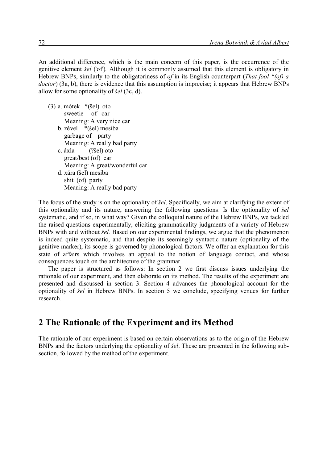An additional difference, which is the main concern of this paper, is the occurrence of the genitive element *šel* ('of')*.* Although it is commonly assumed that this element is obligatory in Hebrew BNPs, similarly to the obligatoriness of *of* in its English counterpart (*That fool \*(of) a doctor*) (3a, b), there is evidence that this assumption is imprecise; it appears that Hebrew BNPs allow for some optionality of *šel* (3c, d).

(3) a. mótek \*(šel) oto sweetie of car Meaning: A very nice car b. zével \*(šel) mesiba garbage of party Meaning: A really bad party c. áxla (?šel) oto great/best (of) car Meaning: A great/wonderful car d. xára (šel) mesiba shit (of) party Meaning: A really bad party

The focus of the study is on the optionality of *šel*. Specifically, we aim at clarifying the extent of this optionality and its nature, answering the following questions: Is the optionality of *šel* systematic, and if so, in what way? Given the colloquial nature of the Hebrew BNPs, we tackled the raised questions experimentally, eliciting grammaticality judgments of a variety of Hebrew BNPs with and without *šel.* Based on our experimental findings, we argue that the phenomenon is indeed quite systematic, and that despite its seemingly syntactic nature (optionality of the genitive marker), its scope is governed by phonological factors. We offer an explanation for this state of affairs which involves an appeal to the notion of language contact, and whose consequences touch on the architecture of the grammar.

The paper is structured as follows: In section 2 we first discuss issues underlying the rationale of our experiment, and then elaborate on its method. The results of the experiment are presented and discussed in section 3. Section 4 advances the phonological account for the optionality of *šel* in Hebrew BNPs. In section 5 we conclude, specifying venues for further research.

## **2 The Rationale of the Experiment and its Method**

The rationale of our experiment is based on certain observations as to the origin of the Hebrew BNPs and the factors underlying the optionality of *šel*. These are presented in the following subsection, followed by the method of the experiment.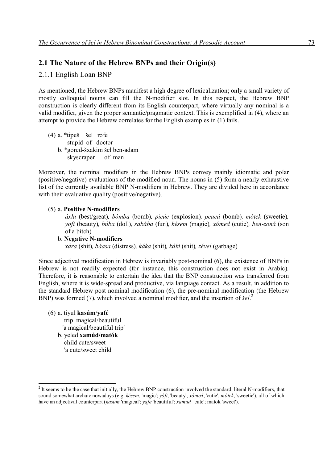### **2.1 The Nature of the Hebrew BNPs and their Origin(s)**

### 2.1.1 English Loan BNP

As mentioned, the Hebrew BNPs manifest a high degree of lexicalization; only a small variety of mostly colloquial nouns can fill the N-modifier slot. In this respect, the Hebrew BNP construction is clearly different from its English counterpart, where virtually any nominal is a valid modifier, given the proper semantic/pragmatic context. This is exemplified in (4), where an attempt to provide the Hebrew correlates for the English examples in (1) fails.

(4) a. \*tipeš šel rofe stupid of doctor b. \*gored-šxakim šel ben-adam skyscraper of man

Moreover, the nominal modifiers in the Hebrew BNPs convey mainly idiomatic and polar (positive/negative) evaluations of the modified noun. The nouns in (5) form a nearly exhaustive list of the currently available BNP N-modifiers in Hebrew. They are divided here in accordance with their evaluative quality (positive/negative).

#### (5) a. **Positive N-modifiers**

*áxla* (best/great)*, bómba* (bomb)*, picúc* (explosion)*, pcacá* (bomb)*, mótek* (sweetie)*, yofi* (beauty)*, búba* (doll)*, sabába* (fun)*, késem* (magic)*, xómed* (cutie)*, ben-zoná* (son of a bitch)

#### b. **Negative N-modifiers**  *xára* (shit)*, báasa* (distress)*, káka* (shit)*, káki* (shit)*, zével* (garbage)

Since adjectival modification in Hebrew is invariably post-nominal (6), the existence of BNPs in Hebrew is not readily expected (for instance, this construction does not exist in Arabic). Therefore, it is reasonable to entertain the idea that the BNP construction was transferred from English, where it is wide-spread and productive, via language contact. As a result, in addition to the standard Hebrew post nominal modification (6), the pre-nominal modification (the Hebrew BNP) was formed (7), which involved a nominal modifier, and the insertion of *šel*. 2

(6) a. tiyul **kasúm**/**yafé** trip magical/beautiful 'a magical/beautiful trip' b. yeled **xamúd/matók**

 child cute/sweet 'a cute/sweet child'

 $2<sup>2</sup>$  It seems to be the case that initially, the Hebrew BNP construction involved the standard, literal N-modifiers, that sound somewhat archaic nowadays (e.g. *késem*, 'magic'; *yófi*, 'beauty'; *xómed*, 'cutie', *mótek*, 'sweetie'), all of which have an adjectival counterpart (*kasum* 'magical'; *yafe* 'beautiful'; *xamud* 'cute'; matok 'sweet').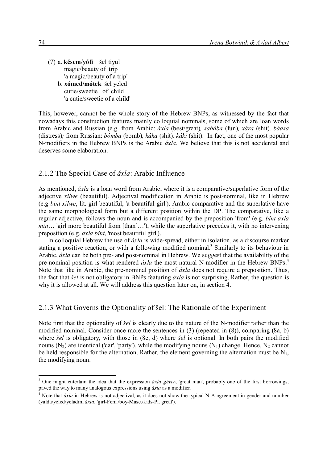(7) a. **késem**/**yófi** šel tiyul magic/beauty of trip 'a magic/beauty of a trip' b. **xómed/mótek** šel yeled cutie/sweetie of child 'a cutie/sweetie of a child'

This, however, cannot be the whole story of the Hebrew BNPs, as witnessed by the fact that nowadays this construction features mainly colloquial nominals, some of which are loan words from Arabic and Russian (e.g. from Arabic: *áxla* (best/great)*, sabába* (fun)*, xára* (shit)*, báasa*  (distress)*;* from Russian: *bómba* (bomb)*, káka* (shit)*, káki* (shit). In fact, one of the most popular N-modifiers in the Hebrew BNPs is the Arabic *áxla.* We believe that this is not accidental and deserves some elaboration.

#### 2.1.2 The Special Case of *áxla*: Arabic Influence

As mentioned, *áxla* is a loan word from Arabic, where it is a comparative/superlative form of the adjective *xilwe* (beautiful). Adjectival modification in Arabic is post-nominal, like in Hebrew (e.g *bint xilwe*, lit. girl beautiful, 'a beautiful girl'). Arabic comparative and the superlative have the same morphological form but a different position within the DP. The comparative, like a regular adjective, follows the noun and is accompanied by the preposition 'from' (e.g. *bint axla min*... 'girl more beautiful from [than]...'), while the superlative precedes it, with no intervening preposition (e.g. *axla bint*, 'most beautiful girl').

In colloquial Hebrew the use of *áxla* is wide-spread, either in isolation, as a discourse marker stating a positive reaction, or with a following modified nominal.<sup>3</sup> Similarly to its behaviour in Arabic, *áxla* can be both pre- and post-nominal in Hebrew. We suggest that the availability of the pre-nominal position is what rendered *áxla* the most natural N-modifier in the Hebrew BNPs. 4 Note that like in Arabic, the pre-nominal position of *áxla* does not require a preposition. Thus, the fact that *šel* is not obligatory in BNPs featuring *áxla* is not surprising. Rather, the question is why it is allowed at all. We will address this question later on, in section 4.

#### 2.1.3 What Governs the Optionality of šel: The Rationale of the Experiment

Note first that the optionality of *šel* is clearly due to the nature of the N-modifier rather than the modified nominal. Consider once more the sentences in (3) (repeated in (8)), comparing (8a, b) where *šel* is obligatory, with those in (8c, d) where *šel* is optional. In both pairs the modified nouns  $(N_2)$  are identical ('car', 'party'), while the modifying nouns  $(N_1)$  change. Hence,  $N_2$  cannot be held responsible for the alternation. Rather, the element governing the alternation must be  $N_1$ , the modifying noun.

<sup>3</sup> One might entertain the idea that the expression *áxla géver***,** 'great man', probably one of the first borrowings, paved the way to many analogous expressions using *áxla* as a modifier.

<sup>&</sup>lt;sup>4</sup> Note that *áxla* in Hebrew is not adjectival, as it does not show the typical N-A agreement in gender and number (yalda/yeled/yeladim *áxla*, 'girl-Fem./boy-Masc./kids-Pl. great').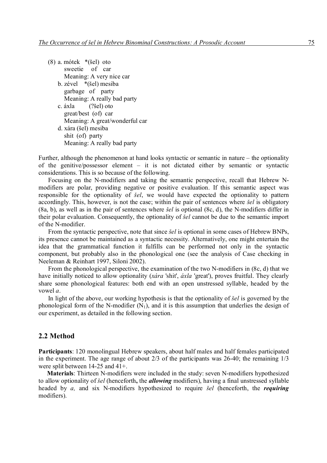- (8) a. mótek \*(šel) oto sweetie of car Meaning: A very nice car b. zével \*(šel) mesiba garbage of party Meaning: A really bad party c. áxla (?šel) oto great/best (of) car Meaning: A great/wonderful car d. xára (šel) mesiba shit (of) party
	- Meaning: A really bad party

Further, although the phenomenon at hand looks syntactic or semantic in nature – the optionality of the genitive/possessor element – it is not dictated either by semantic or syntactic considerations. This is so because of the following.

Focusing on the N-modifiers and taking the semantic perspective, recall that Hebrew Nmodifiers are polar, providing negative or positive evaluation. If this semantic aspect was responsible for the optionality of *šel*, we would have expected the optionality to pattern accordingly. This, however, is not the case; within the pair of sentences where *šel* is obligatory (8a, b), as well as in the pair of sentences where *šel* is optional (8c, d), the N-modifiers differ in their polar evaluation. Consequently, the optionality of *šel* cannot be due to the semantic import of the N-modifier.

From the syntactic perspective, note that since *šel* is optional in some cases of Hebrew BNPs, its presence cannot be maintained as a syntactic necessity. Alternatively, one might entertain the idea that the grammatical function it fulfills can be performed not only in the syntactic component, but probably also in the phonological one (see the analysis of Case checking in Neeleman & Reinhart 1997, Siloni 2002).

From the phonological perspective, the examination of the two N-modifiers in (8c, d) that we have initially noticed to allow optionality (*xára* 'shit', *áxla* 'great'), proves fruitful. They clearly share some phonological features: both end with an open unstressed syllable, headed by the vowel *a*.

In light of the above, our working hypothesis is that the optionality of *šel* is governed by the phonological form of the N-modifier  $(N_1)$ , and it is this assumption that underlies the design of our experiment, as detailed in the following section.

#### **2.2 Method**

**Participants**: 120 monolingual Hebrew speakers, about half males and half females participated in the experiment. The age range of about 2/3 of the participants was 26-40; the remaining 1/3 were split between 14-25 and 41+.

**Materials**: Thirteen N-modifiers were included in the study: seven N-modifiers hypothesized to allow optionality of *šel* (henceforth**,** the *allowing* modifiers), having a final unstressed syllable headed by *a,* and six N-modifiers hypothesized to require *šel* (henceforth, the *requiring*  modifiers).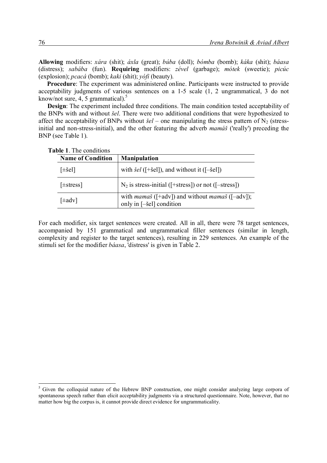**Allowing** modifiers: *xára* (shit); *áxla* (great); *búba* (doll); *bómba* (bomb); *káka* (shit); *báasa*  (distress); *sabába* (fun). **Requiring** modifiers: *zével* (garbage); *mótek* (sweetie); *picúc*  (explosion); *pcacá* (bomb); *kaki* (shit); *yófi* (beauty).

**Procedure**: The experiment was administered online. Participants were instructed to provide acceptability judgments of various sentences on a 1-5 scale (1, 2 ungrammatical, 3 do not know/not sure, 4, 5 grammatical). 5

**Design:** The experiment included three conditions. The main condition tested acceptability of the BNPs with and without *šel*. There were two additional conditions that were hypothesized to affect the acceptability of BNPs without  $\dot{\mathcal{S}}el$  – one manipulating the stress pattern of N<sub>2</sub> (stressinitial and non-stress-initial), and the other featuring the adverb *mamáš* ('really') preceding the BNP (see Table 1).

| <b>Name of Condition</b> | <b>Manipulation</b>                                                                       |
|--------------------------|-------------------------------------------------------------------------------------------|
| [ $\pm$ šel]             | with $\delta el$ ([+šel]), and without it ([-šel])                                        |
| $[\pm \text{stress}]$    | $N_2$ is stress-initial ([+stress]) or not ([-stress])                                    |
| [±adv]                   | with <i>mamaš</i> ([+adv]) and without <i>mamaš</i> ([-adv]);<br>only in [-šel] condition |

**Table 1**. The conditions

For each modifier, six target sentences were created. All in all, there were 78 target sentences, accompanied by 151 grammatical and ungrammatical filler sentences (similar in length, complexity and register to the target sentences), resulting in 229 sentences. An example of the stimuli set for the modifier *báasa*, 'distress' is given in Table 2.

<sup>&</sup>lt;sup>5</sup> Given the colloquial nature of the Hebrew BNP construction, one might consider analyzing large corpora of spontaneous speech rather than elicit acceptability judgments via a structured questionnaire. Note, however, that no matter how big the corpus is, it cannot provide direct evidence for ungrammaticality.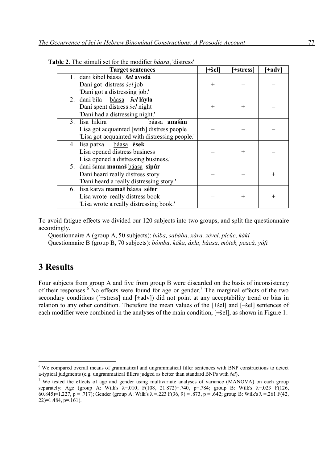| <b>Target sentences</b>                           | $[\pm \check{ }$ sel] | [±stress] | [±adv] |
|---------------------------------------------------|-----------------------|-----------|--------|
| 1. dani kibel báasa šel avodá                     |                       |           |        |
| Dani got distress <i>šel</i> job                  | $^+$                  |           |        |
| 'Dani got a distressing job.'                     |                       |           |        |
| 2. dani bila báasa šel láyla                      |                       |           |        |
| Dani spent distress šel night                     | $^+$                  | $^{+}$    |        |
| 'Dani had a distressing night.'                   |                       |           |        |
| $ana\check{a}$<br>3. lisa hikira<br>b <u>áasa</u> |                       |           |        |
| Lisa got acquainted [with] distress people        |                       |           |        |
| 'Lisa got acquainted with distressing people.'    |                       |           |        |
| 4. lisa patxa<br>báasa ések                       |                       |           |        |
| Lisa opened distress business                     |                       | $^{+}$    |        |
| Lisa opened a distressing business.               |                       |           |        |
| 5. dani šama mamaš báasa sipúr                    |                       |           |        |
| Dani heard really distress story                  |                       |           |        |
| 'Dani heard a really distressing story.'          |                       |           |        |
| 6. lisa katva mamaš báasa séfer                   |                       |           |        |
| Lisa wrote really distress book                   |                       | $^{+}$    |        |
| 'Lisa wrote a really distressing book.'           |                       |           |        |

| Table 2. The stimuli set for the modifier <i>báasa</i> , 'distress' |  |
|---------------------------------------------------------------------|--|
|---------------------------------------------------------------------|--|

To avoid fatigue effects we divided our 120 subjects into two groups, and split the questionnaire accordingly.

Questionnaire A (group A, 50 subjects): *búba, sabába, xára, zével, picúc, káki*

Questionnaire B (group B, 70 subjects): *bómba, káka, áxla, báasa, mótek, pcacá, yófi*

## **3 Results**

-

Four subjects from group A and five from group B were discarded on the basis of inconsistency of their responses.<sup>6</sup> No effects were found for age or gender.<sup>7</sup> The marginal effects of the two secondary conditions ([ $\pm$ stress] and [ $\pm$ adv]) did not point at any acceptability trend or bias in relation to any other condition. Therefore the mean values of the [+šel] and [–šel] sentences of each modifier were combined in the analyses of the main condition, [±šel], as shown in Figure 1.

<sup>&</sup>lt;sup>6</sup> We compared overall means of grammatical and ungrammatical filler sentences with BNP constructions to detect a-typical judgments (e.g. ungrammatical fillers judged as better than standard BNPs with *šel*).

<sup>&</sup>lt;sup>7</sup> We tested the effects of age and gender using multivariate analyses of variance (MANOVA) on each group separately: Age (group A: Wilk's  $\lambda$ =.010, F(108, 21.872)=.740, p=.784; group B: Wilk's  $\lambda$ =.023 F(126, 60.845)=1.227, p = .717); Gender (group A: Wilk's  $\lambda$  = .223 F(36, 9) = .873, p = .642; group B: Wilk's  $\lambda$  = .261 F(42,  $22$ )=1.484, p=.161).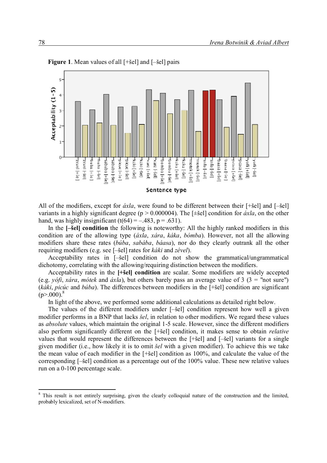

**Figure 1**. Mean values of all [+šel] and [–šel] pairs

All of the modifiers, except for *áxla*, were found to be different between their [+šel] and [–šel] variants in a highly significant degree (p > 0.000004). The [±šel] condition for *áxla*, on the other hand, was highly insignificant  $(t(64) = -.483, p = .631)$ .

In the  $[-\text{Sel}]$  condition the following is noteworthy: All the highly ranked modifiers in this condition are of the allowing type (*áxla*, *xára*, *káka*, *bómba*). However, not all the allowing modifiers share these rates (*búba*, *sabába*, *báasa*), nor do they clearly outrank all the other requiring modifiers (e.g. see [–šel] rates for *káki* and *zével*).

Acceptability rates in [–šel] condition do not show the grammatical/ungrammatical dichotomy, correlating with the allowing/requiring distinction between the modifiers.

Acceptability rates in the **[+šel] condition** are scalar. Some modifiers are widely accepted (e.g. *yófi*, *xára*, *mótek* and *áxla*), but others barely pass an average value of 3 (3 = "not sure") (*káki*, *picúc* and *búba*). The differences between modifiers in the [+šel] condition are significant  $(p > .000)^8$ 

In light of the above, we performed some additional calculations as detailed right below.

The values of the different modifiers under [–šel] condition represent how well a given modifier performs in a BNP that lacks *šel*, in relation to other modifiers. We regard these values as *absolute* values, which maintain the original 1-5 scale. However, since the different modifiers also perform significantly different on the [+šel] condition, it makes sense to obtain *relative*  values that would represent the differences between the [+šel] and [–šel] variants for a single given modifier (i.e., how likely it is to omit *šel* with a given modifier). To achieve this we take the mean value of each modifier in the [+šel] condition as 100%, and calculate the value of the corresponding [–šel] condition as a percentage out of the 100% value. These new relative values run on a 0-100 percentage scale.

<sup>&</sup>lt;sup>8</sup> This result is not entirely surprising, given the clearly colloquial nature of the construction and the limited, probably lexicalized, set of N-modifiers.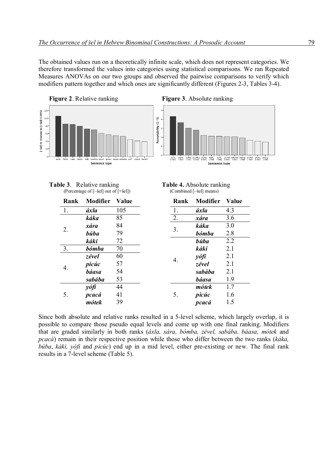The obtained values run on a theoretically infinite scale, which does not represent categories. We therefore transformed the values into categories using statistical comparisons. We ran Repeated Measures ANOVAs on our two groups and observed the pairwise comparisons to verify which modifiers pattern together and which ones are significantly different (Figures 2-3, Tables 3-4).



**Table 3**. Relative ranking<br>(Percentage of [-sel] out of [+sel]) (Combined [-sel] means) (Percentage of  $[-\text{šel}]$  out of  $[+\text{šel}]$ )

| $\mathbf{F}$ and $\mathbf{F}$ and $\mathbf{F}$ are the contribution of $\mathbf{F}$ |  |  |  |
|-------------------------------------------------------------------------------------|--|--|--|
|                                                                                     |  |  |  |
|                                                                                     |  |  |  |
|                                                                                     |  |  |  |
|                                                                                     |  |  |  |
|                                                                                     |  |  |  |

| Rank | <b>Modifier</b> | <b>Value</b> |    | Rank         | <b>Modifier</b> | <b>Value</b> |
|------|-----------------|--------------|----|--------------|-----------------|--------------|
| 1.   | áxla            | 105          |    | 1.           | áxla            | 4.3          |
|      | káka            | 85           |    | 2.           | xára            | 3.6          |
| 2.   | xára            | 84           |    | 3.           | káka            | 3.0          |
|      | <b>búba</b>     | 79           |    |              | <b>bómba</b>    | 2.8          |
|      | káki            | 72           |    | <b>búba</b>  | 2.2             |              |
| 3.   | bómba           | 70           |    |              | káki            | 2.1          |
| 4.   | zével           | 60           | 4. | yófi         | 2.1             |              |
|      | picúc           | 57           |    | zével        | 2.1             |              |
|      | <b>báasa</b>    | 54           |    |              | sabába          | 2.1          |
|      | sabába          | 53           |    | <b>báasa</b> | 1.9             |              |
| 5.   | yófi            | 44           | 5. | mótek        | 1.7             |              |
|      | pcacá           | 41           |    | picúc        | 1.6             |              |
|      | mótek           | 39           |    |              | pcacá           | 1.5          |

Since both absolute and relative ranks resulted in a 5-level scheme, which largely overlap, it is possible to compare those pseudo equal levels and come up with one final ranking. Modifiers that are graded similarly in both ranks (*áxla, xára, bómba, zével, sabába, báasa, mótek* and *pcacá*) remain in their respective position while those who differ between the two ranks (*káka, búba*, *káki, yófi* and *picúc*) end up in a mid level, either pre-existing or new. The final rank results in a 7-level scheme (Table 5).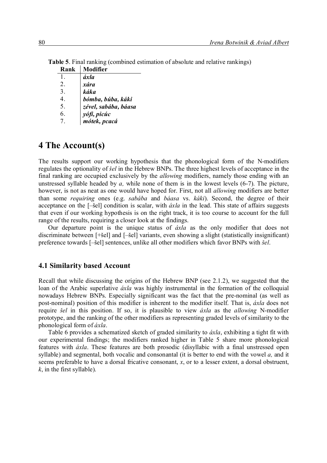| Kank | Modifier             |
|------|----------------------|
| 1.   | áxla                 |
| 2.   | xára                 |
| 3.   | káka                 |
| 4    | bómba, búba, káki    |
| 5.   | zével, sabába, báasa |
| 6    | yófi, picúc          |
| 7    | mótek, pcacá         |

**Table 5**. Final ranking (combined estimation of absolute and relative rankings) **Rank Modifier**

# **4 The Account(s)**

The results support our working hypothesis that the phonological form of the N-modifiers regulates the optionality of *šel* in the Hebrew BNPs. The three highest levels of acceptance in the final ranking are occupied exclusively by the *allowing* modifiers, namely those ending with an unstressed syllable headed by *a,* while none of them is in the lowest levels (6-7). The picture, however, is not as neat as one would have hoped for. First, not all *allowing* modifiers are better than some *requiring* ones (e.g. *sabába* and *báasa* vs. *káki*). Second, the degree of their acceptance on the [–šel] condition is scalar, with *áxla* in the lead. This state of affairs suggests that even if our working hypothesis is on the right track, it is too course to account for the full range of the results, requiring a closer look at the findings.

Our departure point is the unique status of *áxla* as the only modifier that does not discriminate between [+šel] and [–šel] variants, even showing a slight (statistically insignificant) preference towards [–šel] sentences, unlike all other modifiers which favor BNPs with *šel*.

### **4.1 Similarity based Account**

Recall that while discussing the origins of the Hebrew BNP (see 2.1.2), we suggested that the loan of the Arabic superlative *áxla* was highly instrumental in the formation of the colloquial nowadays Hebrew BNPs. Especially significant was the fact that the pre-nominal (as well as post-nominal) position of this modifier is inherent to the modifier itself. That is, *áxla* does not require *šel* in this position. If so, it is plausible to view *áxla* as the *allowing* N-modifier prototype, and the ranking of the other modifiers as representing graded levels of similarity to the phonological form of *áxla*.

Table 6 provides a schematized sketch of graded similarity to *áxla*, exhibiting a tight fit with our experimental findings; the modifiers ranked higher in Table 5 share more phonological features with *áxla*. These features are both prosodic (disyllabic with a final unstressed open syllable) and segmental, both vocalic and consonantal (it is better to end with the vowel *a,* and it seems preferable to have a dorsal fricative consonant, *x*, or to a lesser extent, a dorsal obstruent, *k*, in the first syllable).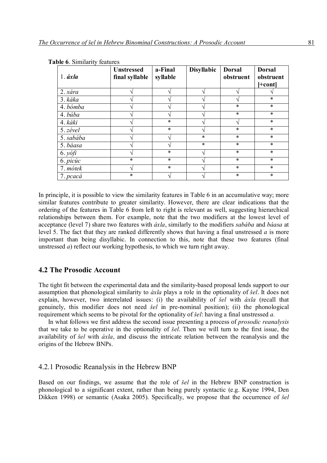| $1. \acute{\textit{axla}}$ | <b>Unstressed</b><br>final syllable | a-Final<br>syllable | <b>Disyllabic</b> | <b>Dorsal</b><br>obstruent | <b>Dorsal</b><br>obstruent |
|----------------------------|-------------------------------------|---------------------|-------------------|----------------------------|----------------------------|
|                            |                                     |                     |                   |                            | [+cont]                    |
| 2. xára                    |                                     |                     |                   |                            |                            |
| 3. káka                    |                                     |                     |                   |                            | $\ast$                     |
| 4. bómba                   |                                     |                     |                   | $\ast$                     | $\ast$                     |
| 4. búba                    |                                     |                     |                   | $\ast$                     | $\ast$                     |
| 4. káki                    |                                     | $\ast$              |                   | ٦                          | $\ast$                     |
| $5. z$ ével                |                                     | $\ast$              |                   | $\ast$                     | $\ast$                     |
| 5. sabába                  |                                     |                     | $\ast$            | $\ast$                     | $\ast$                     |
| 5. báasa                   |                                     |                     | $\ast$            | $\ast$                     | $\ast$                     |
| $6. y \delta f$            |                                     | $\ast$              |                   | $\ast$                     | $\ast$                     |
| 6. picúc                   | $\ast$                              | $\ast$              |                   | $\ast$                     | $\ast$                     |
| 7. mótek                   |                                     | $\ast$              |                   | $\ast$                     | $\ast$                     |
| 7. pcacá                   | $\ast$                              |                     |                   | $\ast$                     | $\ast$                     |

**Table 6**. Similarity features

In principle, it is possible to view the similarity features in Table 6 in an accumulative way; more similar features contribute to greater similarity. However, there are clear indications that the ordering of the features in Table 6 from left to right is relevant as well, suggesting hierarchical relationships between them. For example, note that the two modifiers at the lowest level of acceptance (level 7) share two features with *áxla*, similarly to the modifiers *sabába* and *báasa* at level 5. The fact that they are ranked differently shows that having a final unstressed *a* is more important than being disyllabic. In connection to this, note that these two features (final unstressed *a*) reflect our working hypothesis, to which we turn right away.

#### **4.2 The Prosodic Account**

The tight fit between the experimental data and the similarity-based proposal lends support to our assumption that phonological similarity to *áxla* plays a role in the optionality of *šel*. It does not explain, however, two interrelated issues: (i) the availability of *šel* with *áxla* (recall that genuinely, this modifier does not need *šel* in pre-nominal position); (ii) the phonological requirement which seems to be pivotal for the optionality of *šel*: having a final unstressed *a.*

In what follows we first address the second issue presenting a process of *prosodic reanalysis*  that we take to be operative in the optionality of *šel*. Then we will turn to the first issue, the availability of *šel* with *áxla*, and discuss the intricate relation between the reanalysis and the origins of the Hebrew BNPs.

#### 4.2.1 Prosodic Reanalysis in the Hebrew BNP

Based on our findings, we assume that the role of *šel* in the Hebrew BNP construction is phonological to a significant extent, rather than being purely syntactic (e.g. Kayne 1994, Den Dikken 1998) or semantic (Asaka 2005). Specifically, we propose that the occurrence of *šel*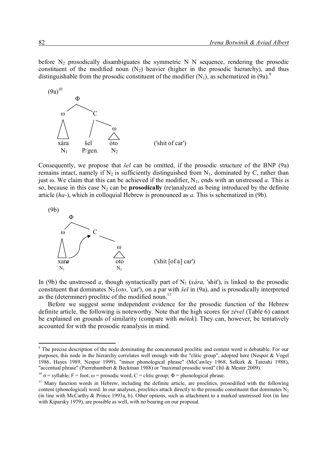before  $N_2$  prosodically disambiguates the symmetric N N sequence, rendering the prosodic constituent of the modified noun  $(N_2)$  heavier (higher in the prosodic hierarchy), and thus distinguishable from the prosodic constituent of the modifier  $(N_1)$ , as schematized in  $(9a)$ .<sup>9</sup>



Consequently, we propose that *šel* can be omitted, if the prosodic structure of the BNP (9a) remains intact, namely if  $N_2$  is sufficiently distinguished from  $N_1$ , dominated by C, rather than just  $\omega$ . We claim that this can be achieved if the modifier, N<sub>1</sub>, ends with an unstressed *a*. This is so, because in this case  $N_2$  can be **prosodically** (re)analyzed as being introduced by the definite article (*ha-*), which in colloquial Hebrew is pronounced as *a*. This is schematized in (9b).



In (9b) the unstressed *a*, though syntactically part of  $N_1$  (*xára*, 'shit'), is linked to the prosodic constituent that dominates N<sub>2</sub> (*oto*, 'car'), on a par with *šel* in (9a), and is prosodically interpreted as the (determiner) proclitic of the modified noun.<sup>11</sup>

Before we suggest some independent evidence for the prosodic function of the Hebrew definite article, the following is noteworthy. Note that the high scores for *zével* (Table 6) cannot be explained on grounds of similarity (compare with *mótek*). They can, however, be tentatively accounted for with the prosodic reanalysis in mind.

 $9$  The precise description of the node dominating the concatenated proclitic and content word is debatable. For our purposes, this node in the hierarchy correlates well enough with the "clitic group", adopted here (Nespor & Vogel 1986, Hayes 1989, Nespor 1999), "minor phonological phrase" (McCawley 1968, Selkirk & Tateishi 1988), "accentual phrase" (Pierrehumbert & Beckman 1988) or "maximal prosodic word" (Itô & Mester 2009).

<sup>&</sup>lt;sup>10</sup> σ = syllable; F = foot; ω = prosodic word; C = clitic group; Φ = phonological phrase.

<sup>&</sup>lt;sup>11</sup> Many function words in Hebrew, including the definite article, are proclitics, prosodified with the following content (phonological) word. In our analyses, proclitics attach directly to the prosodic constituent that dominates  $N_2$ (in line with McCarthy & Prince 1993a, b). Other options, such as attachment to a marked unstressed foot (in line with Kiparsky 1979), are possible as well, with no bearing on our proposal.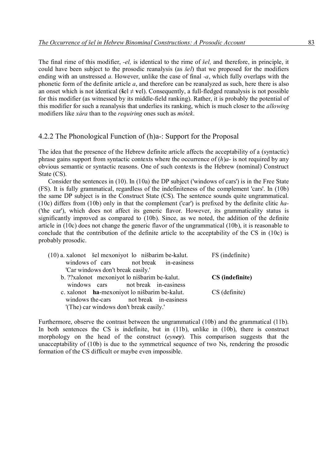The final rime of this modifier, *-el,* is identical to the rime of *šel,* and therefore, in principle, it could have been subject to the prosodic reanalysis (as *šel*) that we proposed for the modifiers ending with an unstressed *a.* However, unlike the case of final *-a*, which fully overlaps with the phonetic form of the definite article *a*, and therefore can be reanalyzed as such, here there is also an onset which is not identical ( $\check{\mathbf{s}} \in \mathbb{R}$ ). Consequently, a full-fledged reanalysis is not possible for this modifier (as witnessed by its middle-field ranking). Rather, it is probably the potential of this modifier for such a reanalysis that underlies its ranking, which is much closer to the *allowing*  modifiers like *xára* than to the *requiring* ones such as *mótek*.

## 4.2.2 The Phonological Function of (h)a-: Support for the Proposal

The idea that the presence of the Hebrew definite article affects the acceptability of a (syntactic) phrase gains support from syntactic contexts where the occurrence of (*h*)*a*- is not required by any obvious semantic or syntactic reasons. One of such contexts is the Hebrew (nominal) Construct State (CS).

Consider the sentences in (10). In (10a) the DP subject ('windows of cars') is in the Free State (FS). It is fully grammatical, regardless of the indefiniteness of the complement 'cars'. In (10b) the same DP subject is in the Construct State (CS). The sentence sounds quite ungrammatical. (10c) differs from (10b) only in that the complement ('car') is prefixed by the definite clitic *ha-* ('the car'), which does not affect its generic flavor. However, its grammaticality status is significantly improved as compared to (10b). Since, as we noted, the addition of the definite article in (10c) does not change the generic flavor of the ungrammatical (10b), it is reasonable to conclude that the contribution of the definite article to the acceptability of the CS in (10c) is probably prosodic.

| (10) a. xalonot šel mexoniyot lo nišbarim be-kalut.<br>windows of cars not break in-easiness | FS (indefinite) |
|----------------------------------------------------------------------------------------------|-----------------|
| 'Car windows don't break easily.'                                                            |                 |
| b. ??xalonot mexoniyot lo nišbarim be-kalut.                                                 | CS (indefinite) |
| windows cars not break in-easiness                                                           |                 |
| c. xalonot ha-mexoniyot lo nišbarim be-kalut.                                                | CS (definite)   |
| windows the cars not break in-easiness                                                       |                 |
| '(The) car windows don't break easily.'                                                      |                 |

Furthermore, observe the contrast between the ungrammatical (10b) and the grammatical (11b). In both sentences the CS is indefinite, but in (11b), unlike in (10b), there is construct morphology on the head of the construct (*eyney*). This comparison suggests that the unacceptability of (10b) is due to the symmetrical sequence of two Ns, rendering the prosodic formation of the CS difficult or maybe even impossible.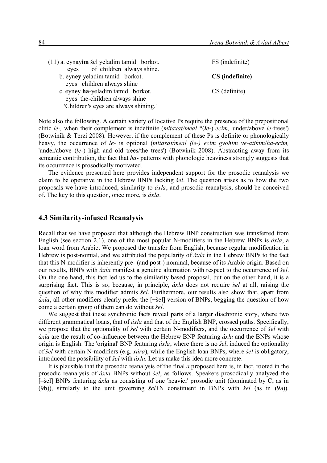| FS (indefinite) |
|-----------------|
|                 |
| CS (indefinite) |
|                 |
| CS (definite)   |
|                 |
|                 |
|                 |

Note also the following. A certain variety of locative Ps require the presence of the prepositional clitic *le-,* when their complement is indefinite (*mitaxat/meal* \*(*le*-) *ecim,* 'under/above *le-*trees') (Botwinik & Terzi 2008). However, if the complement of these Ps is definite or phonologically heavy, the occurrence of *le-* is optional (*mitaxat/meal (le-) ecim gvohim ve-atikim*/*ha-ecim,*  'under/above (*le-*) high and old trees/the trees') (Botwinik 2008). Abstracting away from its semantic contribution, the fact that *ha-* patterns with phonologic heaviness strongly suggests that its occurrence is prosodically motivated.

The evidence presented here provides independent support for the prosodic reanalysis we claim to be operative in the Hebrew BNPs lacking *šel*. The question arises as to how the two proposals we have introduced, similarity to *áxla*, and prosodic reanalysis, should be conceived of. The key to this question, once more, is *áxla*.

#### **4.3 Similarity-infused Reanalysis**

Recall that we have proposed that although the Hebrew BNP construction was transferred from English (see section 2.1), one of the most popular N-modifiers in the Hebrew BNPs is *áxla*, a loan word from Arabic. We proposed the transfer from English, because regular modification in Hebrew is post-nomial, and we attributed the popularity of *áxla* in the Hebrew BNPs to the fact that this N-modifier is inherently pre- (and post-) nominal, because of its Arabic origin. Based on our results, BNPs with *áxla* manifest a genuine alternation with respect to the occurrence of *šel*. On the one hand, this fact led us to the similarity based proposal, but on the other hand, it is a surprising fact. This is so, because, in principle, *áxla* does not require *šel* at all, raising the question of why this modifier admits *šel*. Furthermore, our results also show that, apart from *áxla*, all other modifiers clearly prefer the [+šel] version of BNPs, begging the question of how come a certain group of them can do without *šel*.

We suggest that these synchronic facts reveal parts of a larger diachronic story, where two different grammatical loans, that of *áxla* and that of the English BNP, crossed paths. Specifically, we propose that the optionality of *šel* with certain N-modifiers, and the occurrence of *šel* with *áxla* are the result of co-influence between the Hebrew BNP featuring *áxla* and the BNPs whose origin is English. The 'original' BNP featuring *áxla*, where there is no *šel*, induced the optionality of *šel* with certain N-modifiers (e.g. *xára*), while the English loan BNPs, where *šel* is obligatory, introduced the possibility of *šel* with *áxla.* Let us make this idea more concrete.

It is plausible that the prosodic reanalysis of the final *a* proposed here is, in fact, rooted in the prosodic reanalysis of *áxla* BNPs without *šel*, as follows. Speakers prosodically analyzed the [–šel] BNPs featuring *áxla* as consisting of one 'heavier' prosodic unit (dominated by C, as in (9b)), similarly to the unit governing *šel*+N constituent in BNPs with *šel* (as in (9a)).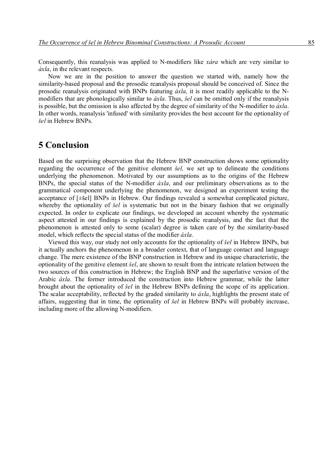Consequently, this reanalysis was applied to N-modifiers like *xára* which are very similar to *áxla*, in the relevant respects.

Now we are in the position to answer the question we started with, namely how the similarity-based proposal and the prosodic reanalysis proposal should be conceived of. Since the prosodic reanalysis originated with BNPs featuring *áxla,* it is most readily applicable to the Nmodifiers that are phonologically similar to *áxla*. Thus, *šel* can be omitted only if the reanalysis is possible, but the omission is also affected by the degree of similarity of the N-modifier to *áxla*. In other words, reanalysis 'infused' with similarity provides the best account for the optionality of *šel* in Hebrew BNPs.

## **5 Conclusion**

Based on the surprising observation that the Hebrew BNP construction shows some optionality regarding the occurrence of the genitive element *šel,* we set up to delineate the conditions underlying the phenomenon. Motivated by our assumptions as to the origins of the Hebrew BNPs, the special status of the N-modifier *áxla*, and our preliminary observations as to the grammatical component underlying the phenomenon, we designed an experiment testing the acceptance of [±šel] BNPs in Hebrew. Our findings revealed a somewhat complicated picture, whereby the optionality of *šel* is systematic but not in the binary fashion that we originally expected. In order to explicate our findings, we developed an account whereby the systematic aspect attested in our findings is explained by the prosodic reanalysis, and the fact that the phenomenon is attested only to some (scalar) degree is taken care of by the similarity-based model, which reflects the special status of the modifier *áxla*.

Viewed this way, our study not only accounts for the optionality of *šel* in Hebrew BNPs, but it actually anchors the phenomenon in a broader context, that of language contact and language change. The mere existence of the BNP construction in Hebrew and its unique characteristic, the optionality of the genitive element *šel*, are shown to result from the intricate relation between the two sources of this construction in Hebrew; the English BNP and the superlative version of the Arabic *áxla*. The former introduced the construction into Hebrew grammar, while the latter brought about the optionality of *šel* in the Hebrew BNPs defining the scope of its application. The scalar acceptability, reflected by the graded similarity to *áxla*, highlights the present state of affairs, suggesting that in time, the optionality of *šel* in Hebrew BNPs will probably increase, including more of the allowing N-modifiers.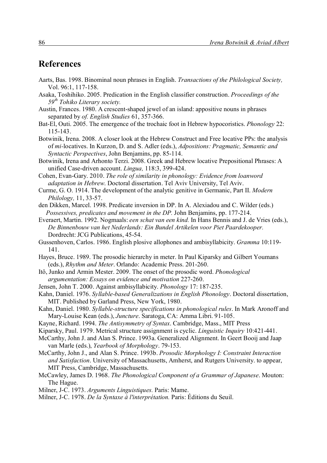# **References**

- Aarts, Bas. 1998. Binominal noun phrases in English. *Transactions of the Philological Society,*  Vol. 96:1, 117-158.
- Asaka, Toshihiko. 2005. Predication in the English classifier construction. *Proceedings of the 59th Tohiko Literary society.*
- Austin, Frances. 1980. A crescent-shaped jewel of an island: appositive nouns in phrases separated by *of. English Studies* 61, 357-366.
- Bat-El, Outi. 2005. The emergence of the trochaic foot in Hebrew hypocoristics. *Phonology* 22: 115-143.
- Botwinik, Irena. 2008. A closer look at the Hebrew Construct and Free locative PPs: the analysis of *mi-*locatives. In Kurzon, D. and S. Adler (eds.), *Adpositions: Pragmatic, Semantic and Syntactic Perspectives*, John Benjamins, pp. 85-114.
- Botwinik, Irena and Arhonto Terzi. 2008. Greek and Hebrew locative Prepositional Phrases: A unified Case-driven account. *Lingua,* 118:3, 399-424.
- Cohen, Evan-Gary. 2010. *The role of similarity in phonology: Evidence from loanword adaptation in Hebrew*. Doctoral dissertation. Tel Aviv University, Tel Aviv.
- Curme, G. O. 1914. The development of the analytic genitive in Germanic, Part II. *Modern Philology,* 11, 33-57.
- den Dikken, Marcel. 1998. Predicate inversion in DP. In A. Alexiadou and C. Wilder (eds.) *Possessives, predicates and movement in the DP.* John Benjamins, pp. 177-214.
- Everaert, Martin. 1992. Nogmaals: *een schat van een kind.* In Hans Bennis and J. de Vries (eds.), *De Binnenbouw van het Nederlands: Ein Bundel Artikelen voor Piet Paardekooper.*  Dordrecht: JCG Publications, 45-54.
- Gussenhoven, Carlos. 1986. English plosive allophones and ambisyllabicity. *Gramma* 10:119- 141.
- Hayes, Bruce. 1989. The prosodic hierarchy in meter. In Paul Kiparsky and Gilbert Youmans (eds.), *Rhythm and Meter*. Orlando: Academic Press. 201-260.
- Itô, Junko and Armin Mester. 2009. The onset of the prosodic word. *Phonological argumentation: Essays on evidence and motivation* 227-260.
- Jensen, John T. 2000. Against ambisyllabicity. *Phonology* 17: 187-235.
- Kahn, Daniel. 1976. *Syllable-based Generalizations in English Phonology*. Doctoral dissertation, MIT. Published by Garland Press, New York, 1980.
- Kahn, Daniel. 1980. *Syllable-structure specifications in phonological rules*. In Mark Aronoff and Mary-Louise Kean (eds.), *Juncture*. Saratoga, CA: Amma Libri. 91-105.
- Kayne, Richard. 1994. *The Antisymmetry of Syntax*. Cambridge, Mass., MIT Press
- Kiparsky, Paul. 1979. Metrical structure assignment is cyclic. *Linguistic Inquiry* 10:421-441.
- McCarthy, John J. and Alan S. Prince. 1993a. Generalized Alignment. In Geert Booij and Jaap van Marle (eds.), *Yearbook of Morphology*. 79-153.
- McCarthy, John J., and Alan S. Prince. 1993b. *Prosodic Morphology I: Constraint Interaction and Satisfaction*. University of Massachusetts, Amherst, and Rutgers University. to appear, MIT Press, Cambridge, Massachusetts.
- McCawley, James D. 1968. *The Phonological Component of a Grammar of Japanese*. Mouton: The Hague.
- Milner, J-C. 1973. *Arguments Linguistiques.* Paris: Mame.
- Milner, J-C. 1978. *De la Syntaxe à l'interprétation.* Paris: Éditions du Seuil.